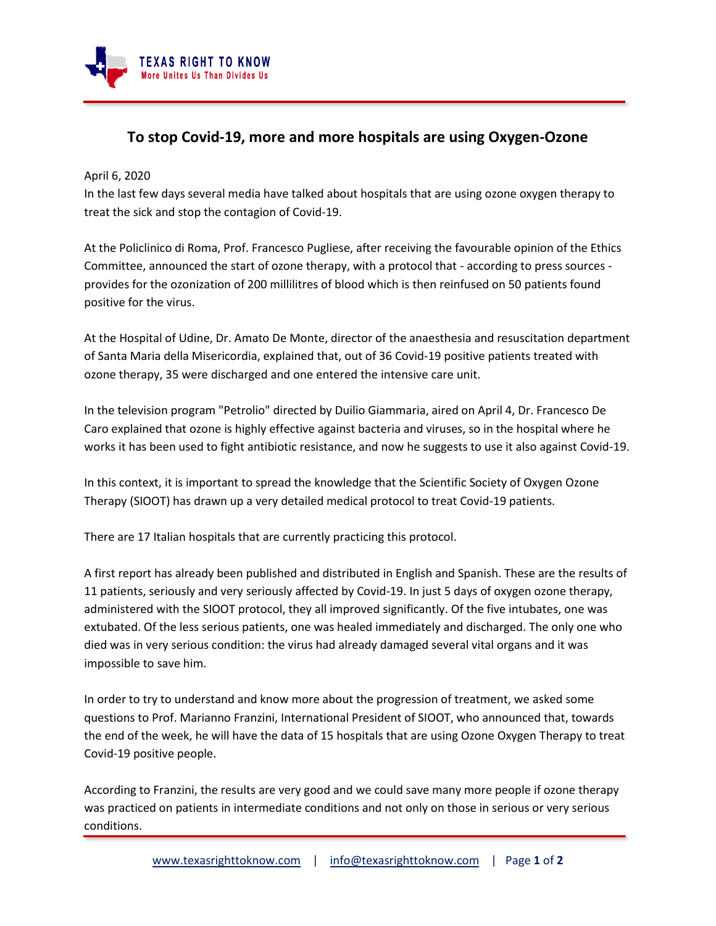

## **To stop Covid-19, more and more hospitals are using Oxygen-Ozone**

April 6, 2020

In the last few days several media have talked about hospitals that are using ozone oxygen therapy to treat the sick and stop the contagion of Covid-19.

At the Policlinico di Roma, Prof. Francesco Pugliese, after receiving the favourable opinion of the Ethics Committee, announced the start of ozone therapy, with a protocol that - according to press sources provides for the ozonization of 200 millilitres of blood which is then reinfused on 50 patients found positive for the virus.

At the Hospital of Udine, Dr. Amato De Monte, director of the anaesthesia and resuscitation department of Santa Maria della Misericordia, explained that, out of 36 Covid-19 positive patients treated with ozone therapy, 35 were discharged and one entered the intensive care unit.

In the television program "Petrolio" directed by Duilio Giammaria, aired on April 4, Dr. Francesco De Caro explained that ozone is highly effective against bacteria and viruses, so in the hospital where he works it has been used to fight antibiotic resistance, and now he suggests to use it also against Covid-19.

In this context, it is important to spread the knowledge that the Scientific Society of Oxygen Ozone Therapy (SIOOT) has drawn up a very detailed medical protocol to treat Covid-19 patients.

There are 17 Italian hospitals that are currently practicing this protocol.

A first report has already been published and distributed in English and Spanish. These are the results of 11 patients, seriously and very seriously affected by Covid-19. In just 5 days of oxygen ozone therapy, administered with the SIOOT protocol, they all improved significantly. Of the five intubates, one was extubated. Of the less serious patients, one was healed immediately and discharged. The only one who died was in very serious condition: the virus had already damaged several vital organs and it was impossible to save him.

In order to try to understand and know more about the progression of treatment, we asked some questions to Prof. Marianno Franzini, International President of SIOOT, who announced that, towards the end of the week, he will have the data of 15 hospitals that are using Ozone Oxygen Therapy to treat Covid-19 positive people.

According to Franzini, the results are very good and we could save many more people if ozone therapy was practiced on patients in intermediate conditions and not only on those in serious or very serious conditions.